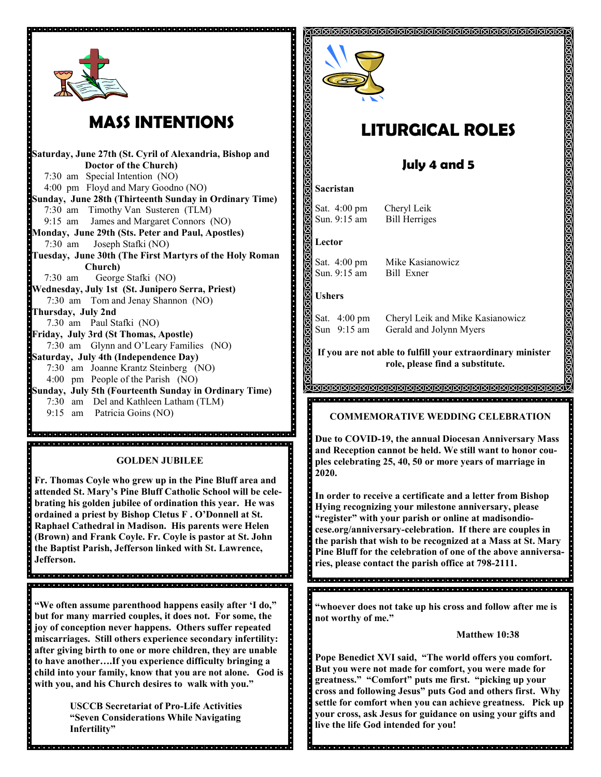

 $\overline{\phantom{a}}$ 

# **MASS INTENTIONS**

**Saturday, June 27th (St. Cyril of Alexandria, Bishop and Doctor of the Church)** 7:30 am Special Intention (NO) 4:00 pm Floyd and Mary Goodno (NO) **Sunday, June 28th (Thirteenth Sunday in Ordinary Time)** 7:30 am Timothy Van Susteren (TLM) 9:15 am James and Margaret Connors (NO) **Monday, June 29th (Sts. Peter and Paul, Apostles)** 7:30 am Joseph Stafki (NO) **Tuesday, June 30th (The First Martyrs of the Holy Roman Church)** 7:30 am George Stafki (NO) **Wednesday, July 1st (St. Junipero Serra, Priest)**  7:30 am Tom and Jenay Shannon (NO) **Thursday, July 2nd** 7.30 am Paul Stafki (NO) **Friday, July 3rd (St Thomas, Apostle)** 7:30 am Glynn and O'Leary Families (NO) **Saturday, July 4th (Independence Day)** 7:30 am Joanne Krantz Steinberg (NO) 4:00 pm People of the Parish (NO) **Sunday, July 5th (Fourteenth Sunday in Ordinary Time)**  7:30 am Del and Kathleen Latham (TLM) 9:15 am Patricia Goins (NO)

**GOLDEN JUBILEE** 

**Fr. Thomas Coyle who grew up in the Pine Bluff area and attended St. Mary's Pine Bluff Catholic School will be celebrating his golden jubilee of ordination this year. He was ordained a priest by Bishop Cletus F . O'Donnell at St. Raphael Cathedral in Madison. His parents were Helen (Brown) and Frank Coyle. Fr. Coyle is pastor at St. John the Baptist Parish, Jefferson linked with St. Lawrence, Jefferson.** 

**"We often assume parenthood happens easily after 'I do," but for many married couples, it does not. For some, the joy of conception never happens. Others suffer repeated miscarriages. Still others experience secondary infertility: after giving birth to one or more children, they are unable to have another….If you experience difficulty bringing a child into your family, know that you are not alone. God is with you, and his Church desires to walk with you."**

> **USCCB Secretariat of Pro-Life Activities "Seven Considerations While Navigating Infertility"**



# **LITURGICAL ROLES**

<u>នៅនៅនៅនៅនៅនៅនៅនៅនៅនៅនៅនៅនៅនៅនៅនៅនៅន</u>

### **July 4 and 5**

#### **Sacristan**

a particular e la proporciona de la participación de la participación de la participación de la participación

阆

Sat. 4:00 pm Cheryl Leik

Sun. 9:15 am Bill Herriges

**Lector** 

Sun. 9:15 am Bill Exner

Sat. 4:00 pm Mike Kasianowicz

**Ushers**

 $\ddot{\cdot}$ 

as on

Sat. 4:00 pm Cheryl Leik and Mike Kasianowicz Sun 9:15 am Gerald and Jolynn Myers

**If you are not able to fulfill your extraordinary minister role, please find a substitute.** 

#### **COMMEMORATIVE WEDDING CELEBRATION**

**Due to COVID-19, the annual Diocesan Anniversary Mass and Reception cannot be held. We still want to honor couples celebrating 25, 40, 50 or more years of marriage in 2020.**

**In order to receive a certificate and a letter from Bishop Hying recognizing your milestone anniversary, please "register" with your parish or online at madisondiocese.org/anniversary-celebration. If there are couples in the parish that wish to be recognized at a Mass at St. Mary Pine Bluff for the celebration of one of the above anniversaries, please contact the parish office at 798-2111.** 

 $\cdot \cdot \cdot$ 

**"whoever does not take up his cross and follow after me is not worthy of me."**

**Matthew 10:38**

**Pope Benedict XVI said, "The world offers you comfort. But you were not made for comfort, you were made for greatness." "Comfort" puts me first. "picking up your cross and following Jesus" puts God and others first. Why settle for comfort when you can achieve greatness. Pick up your cross, ask Jesus for guidance on using your gifts and live the life God intended for you!**